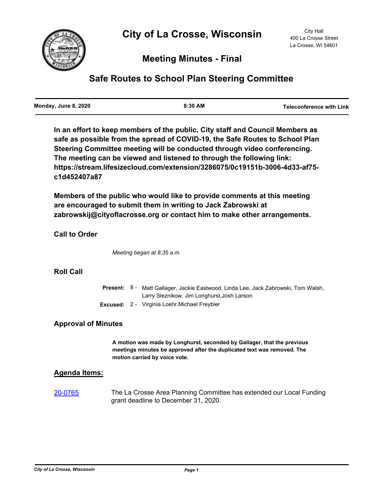

## **Meeting Minutes - Final**

# **Safe Routes to School Plan Steering Committee**

**In an effort to keep members of the public, City staff and Council Members as safe as possible from the spread of COVID-19, the Safe Routes to School Plan Steering Committee meeting will be conducted through video conferencing. The meeting can be viewed and listened to through the following link: https://stream.lifesizecloud.com/extension/3286075/0c19151b-3006-4d33-af75 c1d452407a87**

**Members of the public who would like to provide comments at this meeting are encouraged to submit them in writing to Jack Zabrowski at zabrowskij@cityoflacrosse.org or contact him to make other arrangements.**

### **Call to Order**

*Meeting began at 8:35 a.m.*

#### **Roll Call**

|  | <b>Present:</b> 8 - Matt Gallager, Jackie Eastwood, Linda Lee, Jack Zabrowski, Tom Walsh, |
|--|-------------------------------------------------------------------------------------------|
|  | Larry Sleznikow, Jim Longhurst, Josh Larson                                               |
|  | <b>Excused:</b> 2 - Virginia Loehr, Michael Freybler                                      |

#### **Approval of Minutes**

**A motion was made by Longhurst, seconded by Gallager, that the previous meetings minutes be approved after the duplicated text was removed. The motion carried by voice vote.**

#### **Agenda Items:**

[20-0765](http://cityoflacrosse.legistar.com/gateway.aspx?m=l&id=/matter.aspx?key=11883) The La Crosse Area Planning Committee has extended our Local Funding grant deadline to December 31, 2020.